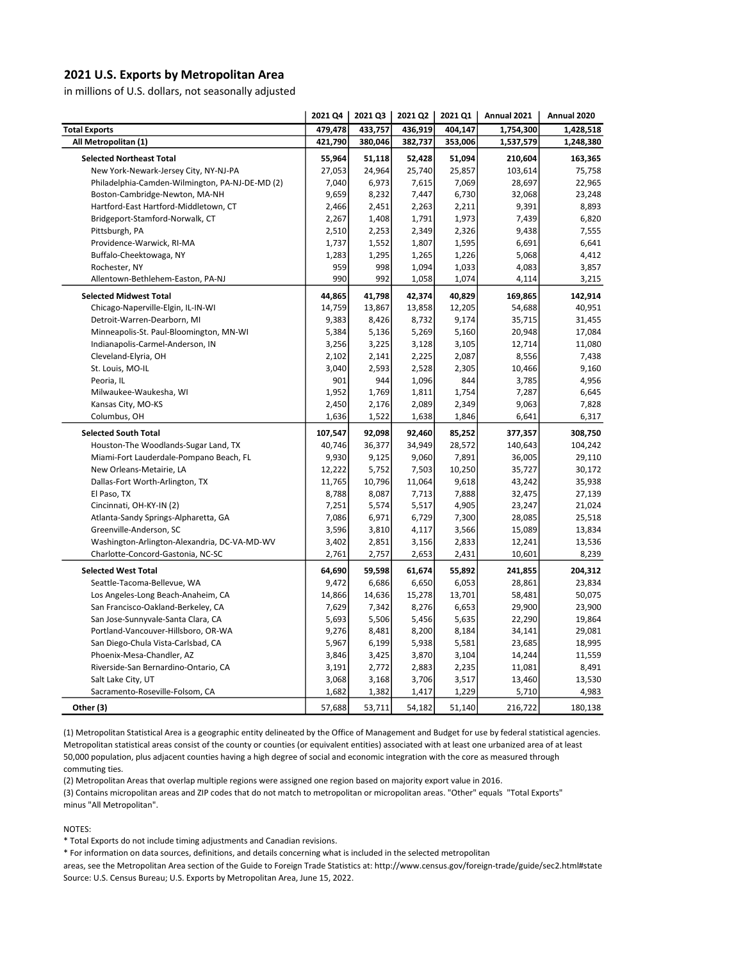## 2021 U.S. Exports by Metropolitan Area

in millions of U.S. dollars, not seasonally adjusted

| 479,478<br><b>Total Exports</b><br>433,757<br>436,919<br>404,147<br>1,754,300<br>1,428,518<br>380,046<br>382,737<br>All Metropolitan (1)<br>421,790<br>353,006<br>1,537,579<br>1,248,380<br>52,428<br>51,094<br><b>Selected Northeast Total</b><br>55,964<br>51,118<br>210,604<br>163,365<br>27,053<br>24,964<br>25,740<br>25,857<br>75,758<br>New York-Newark-Jersey City, NY-NJ-PA<br>103,614<br>7,040<br>6,973<br>7,615<br>7,069<br>28,697<br>22,965<br>Philadelphia-Camden-Wilmington, PA-NJ-DE-MD (2)<br>9,659<br>6,730<br>32,068<br>23,248<br>Boston-Cambridge-Newton, MA-NH<br>8,232<br>7,447<br>Hartford-East Hartford-Middletown, CT<br>2,466<br>2,263<br>2,211<br>9,391<br>8,893<br>2,451<br>1,973<br>7,439<br>6,820<br>Bridgeport-Stamford-Norwalk, CT<br>2,267<br>1,408<br>1,791<br>2,326<br>Pittsburgh, PA<br>2,510<br>2,253<br>2,349<br>9,438<br>7,555<br>1,807<br>1,595<br>6,641<br>Providence-Warwick, RI-MA<br>1,737<br>1,552<br>6,691<br>Buffalo-Cheektowaga, NY<br>1,283<br>1,295<br>1,265<br>1,226<br>5,068<br>4,412<br>959<br>998<br>1,094<br>1,033<br>4,083<br>3,857<br>Rochester, NY<br>990<br>992<br>1,058<br>1,074<br>Allentown-Bethlehem-Easton, PA-NJ<br>4,114<br>3,215<br><b>Selected Midwest Total</b><br>40,829<br>169,865<br>142,914<br>44,865<br>41,798<br>42,374<br>14,759<br>13,867<br>13,858<br>12,205<br>40,951<br>Chicago-Naperville-Elgin, IL-IN-WI<br>54,688<br>9,174<br>Detroit-Warren-Dearborn, MI<br>9,383<br>8,426<br>8,732<br>35,715<br>31,455<br>5,384<br>5,136<br>5,269<br>5,160<br>20,948<br>17,084<br>Minneapolis-St. Paul-Bloomington, MN-WI<br>3,105<br>Indianapolis-Carmel-Anderson, IN<br>3,256<br>3,225<br>3,128<br>12,714<br>11,080<br>2,141<br>2,225<br>2,087<br>8,556<br>7,438<br>Cleveland-Elyria, OH<br>2,102<br>St. Louis, MO-IL<br>3,040<br>2,305<br>9,160<br>2,593<br>2,528<br>10,466<br>844<br>3,785<br>Peoria, IL<br>901<br>944<br>1,096<br>4,956<br>1,952<br>1,811<br>1,754<br>7,287<br>6,645<br>Milwaukee-Waukesha, WI<br>1,769<br>2,349<br>Kansas City, MO-KS<br>2,450<br>2,176<br>2,089<br>9,063<br>7,828<br>1,636<br>1,638<br>1,846<br>6,641<br>Columbus, OH<br>1,522<br>6,317<br>107,547<br>92,098<br>308,750<br><b>Selected South Total</b><br>92,460<br>85,252<br>377,357<br>40,746<br>36,377<br>34,949<br>28,572<br>Houston-The Woodlands-Sugar Land, TX<br>140,643<br>104,242<br>9,930<br>9,060<br>7,891<br>36,005<br>Miami-Fort Lauderdale-Pompano Beach, FL<br>9,125<br>29,110<br>7,503<br>10,250<br>30,172<br>New Orleans-Metairie, LA<br>12,222<br>5,752<br>35,727<br>11,765<br>10,796<br>11,064<br>9,618<br>43,242<br>35,938<br>Dallas-Fort Worth-Arlington, TX<br>8,788<br>8,087<br>7,713<br>7,888<br>32,475<br>27,139<br>El Paso, TX<br>Cincinnati, OH-KY-IN (2)<br>7,251<br>5,574<br>5,517<br>4,905<br>23,247<br>21,024<br>7,086<br>6,971<br>6,729<br>7,300<br>28,085<br>25,518<br>Atlanta-Sandy Springs-Alpharetta, GA<br>Greenville-Anderson, SC<br>3,596<br>3,810<br>4,117<br>3,566<br>15,089<br>13,834<br>Washington-Arlington-Alexandria, DC-VA-MD-WV<br>3,402<br>2,851<br>3,156<br>2,833<br>12,241<br>13,536<br>Charlotte-Concord-Gastonia, NC-SC<br>2,761<br>2,757<br>2,653<br>2,431<br>10,601<br>8,239<br><b>Selected West Total</b><br>64,690<br>59,598<br>61,674<br>55,892<br>241,855<br>204,312<br>9,472<br>6,686<br>6,650<br>6,053<br>23,834<br>Seattle-Tacoma-Bellevue, WA<br>28,861<br>Los Angeles-Long Beach-Anaheim, CA<br>14,866<br>14,636<br>15,278<br>13,701<br>58,481<br>50,075<br>7,629<br>7,342<br>8,276<br>6,653<br>29,900<br>23,900<br>San Francisco-Oakland-Berkeley, CA<br>San Jose-Sunnyvale-Santa Clara, CA<br>5,693<br>5,506<br>5,456<br>5,635<br>22,290<br>19,864<br>9,276<br>8,481<br>8,200<br>8,184<br>34,141<br>29,081<br>Portland-Vancouver-Hillsboro, OR-WA<br>18,995<br>San Diego-Chula Vista-Carlsbad, CA<br>5,967<br>6,199<br>5,938<br>5,581<br>23,685<br>3,846<br>3,425<br>3,870<br>3,104<br>14,244<br>11,559<br>Phoenix-Mesa-Chandler, AZ<br>3,191<br>Riverside-San Bernardino-Ontario, CA<br>2,772<br>2,883<br>2,235<br>11,081<br>8,491<br>Salt Lake City, UT<br>3,068<br>3,706<br>3,517<br>13,460<br>13,530<br>3,168<br>Sacramento-Roseville-Folsom, CA<br>1,229<br>4,983<br>1,682<br>1,382<br>1,417<br>5,710 |           | 2021 Q4 | 2021 Q3 | 2021 Q2 | 2021 Q1 | Annual 2021 | Annual 2020 |
|------------------------------------------------------------------------------------------------------------------------------------------------------------------------------------------------------------------------------------------------------------------------------------------------------------------------------------------------------------------------------------------------------------------------------------------------------------------------------------------------------------------------------------------------------------------------------------------------------------------------------------------------------------------------------------------------------------------------------------------------------------------------------------------------------------------------------------------------------------------------------------------------------------------------------------------------------------------------------------------------------------------------------------------------------------------------------------------------------------------------------------------------------------------------------------------------------------------------------------------------------------------------------------------------------------------------------------------------------------------------------------------------------------------------------------------------------------------------------------------------------------------------------------------------------------------------------------------------------------------------------------------------------------------------------------------------------------------------------------------------------------------------------------------------------------------------------------------------------------------------------------------------------------------------------------------------------------------------------------------------------------------------------------------------------------------------------------------------------------------------------------------------------------------------------------------------------------------------------------------------------------------------------------------------------------------------------------------------------------------------------------------------------------------------------------------------------------------------------------------------------------------------------------------------------------------------------------------------------------------------------------------------------------------------------------------------------------------------------------------------------------------------------------------------------------------------------------------------------------------------------------------------------------------------------------------------------------------------------------------------------------------------------------------------------------------------------------------------------------------------------------------------------------------------------------------------------------------------------------------------------------------------------------------------------------------------------------------------------------------------------------------------------------------------------------------------------------------------------------------------------------------------------------------------------------------------------------------------------------------------------------------------------------------------------------------------------------------------------------------------------------------------------------------------------------------------------------------------------------------------------------------------------------------------------------------------------------------------------------------------------------------------------------------------------------------------------------------------------------------------------------------------------------------------------------------------------------------------------------------|-----------|---------|---------|---------|---------|-------------|-------------|
|                                                                                                                                                                                                                                                                                                                                                                                                                                                                                                                                                                                                                                                                                                                                                                                                                                                                                                                                                                                                                                                                                                                                                                                                                                                                                                                                                                                                                                                                                                                                                                                                                                                                                                                                                                                                                                                                                                                                                                                                                                                                                                                                                                                                                                                                                                                                                                                                                                                                                                                                                                                                                                                                                                                                                                                                                                                                                                                                                                                                                                                                                                                                                                                                                                                                                                                                                                                                                                                                                                                                                                                                                                                                                                                                                                                                                                                                                                                                                                                                                                                                                                                                                                                                                                          |           |         |         |         |         |             |             |
|                                                                                                                                                                                                                                                                                                                                                                                                                                                                                                                                                                                                                                                                                                                                                                                                                                                                                                                                                                                                                                                                                                                                                                                                                                                                                                                                                                                                                                                                                                                                                                                                                                                                                                                                                                                                                                                                                                                                                                                                                                                                                                                                                                                                                                                                                                                                                                                                                                                                                                                                                                                                                                                                                                                                                                                                                                                                                                                                                                                                                                                                                                                                                                                                                                                                                                                                                                                                                                                                                                                                                                                                                                                                                                                                                                                                                                                                                                                                                                                                                                                                                                                                                                                                                                          |           |         |         |         |         |             |             |
|                                                                                                                                                                                                                                                                                                                                                                                                                                                                                                                                                                                                                                                                                                                                                                                                                                                                                                                                                                                                                                                                                                                                                                                                                                                                                                                                                                                                                                                                                                                                                                                                                                                                                                                                                                                                                                                                                                                                                                                                                                                                                                                                                                                                                                                                                                                                                                                                                                                                                                                                                                                                                                                                                                                                                                                                                                                                                                                                                                                                                                                                                                                                                                                                                                                                                                                                                                                                                                                                                                                                                                                                                                                                                                                                                                                                                                                                                                                                                                                                                                                                                                                                                                                                                                          |           |         |         |         |         |             |             |
|                                                                                                                                                                                                                                                                                                                                                                                                                                                                                                                                                                                                                                                                                                                                                                                                                                                                                                                                                                                                                                                                                                                                                                                                                                                                                                                                                                                                                                                                                                                                                                                                                                                                                                                                                                                                                                                                                                                                                                                                                                                                                                                                                                                                                                                                                                                                                                                                                                                                                                                                                                                                                                                                                                                                                                                                                                                                                                                                                                                                                                                                                                                                                                                                                                                                                                                                                                                                                                                                                                                                                                                                                                                                                                                                                                                                                                                                                                                                                                                                                                                                                                                                                                                                                                          |           |         |         |         |         |             |             |
|                                                                                                                                                                                                                                                                                                                                                                                                                                                                                                                                                                                                                                                                                                                                                                                                                                                                                                                                                                                                                                                                                                                                                                                                                                                                                                                                                                                                                                                                                                                                                                                                                                                                                                                                                                                                                                                                                                                                                                                                                                                                                                                                                                                                                                                                                                                                                                                                                                                                                                                                                                                                                                                                                                                                                                                                                                                                                                                                                                                                                                                                                                                                                                                                                                                                                                                                                                                                                                                                                                                                                                                                                                                                                                                                                                                                                                                                                                                                                                                                                                                                                                                                                                                                                                          |           |         |         |         |         |             |             |
|                                                                                                                                                                                                                                                                                                                                                                                                                                                                                                                                                                                                                                                                                                                                                                                                                                                                                                                                                                                                                                                                                                                                                                                                                                                                                                                                                                                                                                                                                                                                                                                                                                                                                                                                                                                                                                                                                                                                                                                                                                                                                                                                                                                                                                                                                                                                                                                                                                                                                                                                                                                                                                                                                                                                                                                                                                                                                                                                                                                                                                                                                                                                                                                                                                                                                                                                                                                                                                                                                                                                                                                                                                                                                                                                                                                                                                                                                                                                                                                                                                                                                                                                                                                                                                          |           |         |         |         |         |             |             |
|                                                                                                                                                                                                                                                                                                                                                                                                                                                                                                                                                                                                                                                                                                                                                                                                                                                                                                                                                                                                                                                                                                                                                                                                                                                                                                                                                                                                                                                                                                                                                                                                                                                                                                                                                                                                                                                                                                                                                                                                                                                                                                                                                                                                                                                                                                                                                                                                                                                                                                                                                                                                                                                                                                                                                                                                                                                                                                                                                                                                                                                                                                                                                                                                                                                                                                                                                                                                                                                                                                                                                                                                                                                                                                                                                                                                                                                                                                                                                                                                                                                                                                                                                                                                                                          |           |         |         |         |         |             |             |
|                                                                                                                                                                                                                                                                                                                                                                                                                                                                                                                                                                                                                                                                                                                                                                                                                                                                                                                                                                                                                                                                                                                                                                                                                                                                                                                                                                                                                                                                                                                                                                                                                                                                                                                                                                                                                                                                                                                                                                                                                                                                                                                                                                                                                                                                                                                                                                                                                                                                                                                                                                                                                                                                                                                                                                                                                                                                                                                                                                                                                                                                                                                                                                                                                                                                                                                                                                                                                                                                                                                                                                                                                                                                                                                                                                                                                                                                                                                                                                                                                                                                                                                                                                                                                                          |           |         |         |         |         |             |             |
|                                                                                                                                                                                                                                                                                                                                                                                                                                                                                                                                                                                                                                                                                                                                                                                                                                                                                                                                                                                                                                                                                                                                                                                                                                                                                                                                                                                                                                                                                                                                                                                                                                                                                                                                                                                                                                                                                                                                                                                                                                                                                                                                                                                                                                                                                                                                                                                                                                                                                                                                                                                                                                                                                                                                                                                                                                                                                                                                                                                                                                                                                                                                                                                                                                                                                                                                                                                                                                                                                                                                                                                                                                                                                                                                                                                                                                                                                                                                                                                                                                                                                                                                                                                                                                          |           |         |         |         |         |             |             |
|                                                                                                                                                                                                                                                                                                                                                                                                                                                                                                                                                                                                                                                                                                                                                                                                                                                                                                                                                                                                                                                                                                                                                                                                                                                                                                                                                                                                                                                                                                                                                                                                                                                                                                                                                                                                                                                                                                                                                                                                                                                                                                                                                                                                                                                                                                                                                                                                                                                                                                                                                                                                                                                                                                                                                                                                                                                                                                                                                                                                                                                                                                                                                                                                                                                                                                                                                                                                                                                                                                                                                                                                                                                                                                                                                                                                                                                                                                                                                                                                                                                                                                                                                                                                                                          |           |         |         |         |         |             |             |
|                                                                                                                                                                                                                                                                                                                                                                                                                                                                                                                                                                                                                                                                                                                                                                                                                                                                                                                                                                                                                                                                                                                                                                                                                                                                                                                                                                                                                                                                                                                                                                                                                                                                                                                                                                                                                                                                                                                                                                                                                                                                                                                                                                                                                                                                                                                                                                                                                                                                                                                                                                                                                                                                                                                                                                                                                                                                                                                                                                                                                                                                                                                                                                                                                                                                                                                                                                                                                                                                                                                                                                                                                                                                                                                                                                                                                                                                                                                                                                                                                                                                                                                                                                                                                                          |           |         |         |         |         |             |             |
|                                                                                                                                                                                                                                                                                                                                                                                                                                                                                                                                                                                                                                                                                                                                                                                                                                                                                                                                                                                                                                                                                                                                                                                                                                                                                                                                                                                                                                                                                                                                                                                                                                                                                                                                                                                                                                                                                                                                                                                                                                                                                                                                                                                                                                                                                                                                                                                                                                                                                                                                                                                                                                                                                                                                                                                                                                                                                                                                                                                                                                                                                                                                                                                                                                                                                                                                                                                                                                                                                                                                                                                                                                                                                                                                                                                                                                                                                                                                                                                                                                                                                                                                                                                                                                          |           |         |         |         |         |             |             |
|                                                                                                                                                                                                                                                                                                                                                                                                                                                                                                                                                                                                                                                                                                                                                                                                                                                                                                                                                                                                                                                                                                                                                                                                                                                                                                                                                                                                                                                                                                                                                                                                                                                                                                                                                                                                                                                                                                                                                                                                                                                                                                                                                                                                                                                                                                                                                                                                                                                                                                                                                                                                                                                                                                                                                                                                                                                                                                                                                                                                                                                                                                                                                                                                                                                                                                                                                                                                                                                                                                                                                                                                                                                                                                                                                                                                                                                                                                                                                                                                                                                                                                                                                                                                                                          |           |         |         |         |         |             |             |
|                                                                                                                                                                                                                                                                                                                                                                                                                                                                                                                                                                                                                                                                                                                                                                                                                                                                                                                                                                                                                                                                                                                                                                                                                                                                                                                                                                                                                                                                                                                                                                                                                                                                                                                                                                                                                                                                                                                                                                                                                                                                                                                                                                                                                                                                                                                                                                                                                                                                                                                                                                                                                                                                                                                                                                                                                                                                                                                                                                                                                                                                                                                                                                                                                                                                                                                                                                                                                                                                                                                                                                                                                                                                                                                                                                                                                                                                                                                                                                                                                                                                                                                                                                                                                                          |           |         |         |         |         |             |             |
|                                                                                                                                                                                                                                                                                                                                                                                                                                                                                                                                                                                                                                                                                                                                                                                                                                                                                                                                                                                                                                                                                                                                                                                                                                                                                                                                                                                                                                                                                                                                                                                                                                                                                                                                                                                                                                                                                                                                                                                                                                                                                                                                                                                                                                                                                                                                                                                                                                                                                                                                                                                                                                                                                                                                                                                                                                                                                                                                                                                                                                                                                                                                                                                                                                                                                                                                                                                                                                                                                                                                                                                                                                                                                                                                                                                                                                                                                                                                                                                                                                                                                                                                                                                                                                          |           |         |         |         |         |             |             |
|                                                                                                                                                                                                                                                                                                                                                                                                                                                                                                                                                                                                                                                                                                                                                                                                                                                                                                                                                                                                                                                                                                                                                                                                                                                                                                                                                                                                                                                                                                                                                                                                                                                                                                                                                                                                                                                                                                                                                                                                                                                                                                                                                                                                                                                                                                                                                                                                                                                                                                                                                                                                                                                                                                                                                                                                                                                                                                                                                                                                                                                                                                                                                                                                                                                                                                                                                                                                                                                                                                                                                                                                                                                                                                                                                                                                                                                                                                                                                                                                                                                                                                                                                                                                                                          |           |         |         |         |         |             |             |
|                                                                                                                                                                                                                                                                                                                                                                                                                                                                                                                                                                                                                                                                                                                                                                                                                                                                                                                                                                                                                                                                                                                                                                                                                                                                                                                                                                                                                                                                                                                                                                                                                                                                                                                                                                                                                                                                                                                                                                                                                                                                                                                                                                                                                                                                                                                                                                                                                                                                                                                                                                                                                                                                                                                                                                                                                                                                                                                                                                                                                                                                                                                                                                                                                                                                                                                                                                                                                                                                                                                                                                                                                                                                                                                                                                                                                                                                                                                                                                                                                                                                                                                                                                                                                                          |           |         |         |         |         |             |             |
|                                                                                                                                                                                                                                                                                                                                                                                                                                                                                                                                                                                                                                                                                                                                                                                                                                                                                                                                                                                                                                                                                                                                                                                                                                                                                                                                                                                                                                                                                                                                                                                                                                                                                                                                                                                                                                                                                                                                                                                                                                                                                                                                                                                                                                                                                                                                                                                                                                                                                                                                                                                                                                                                                                                                                                                                                                                                                                                                                                                                                                                                                                                                                                                                                                                                                                                                                                                                                                                                                                                                                                                                                                                                                                                                                                                                                                                                                                                                                                                                                                                                                                                                                                                                                                          |           |         |         |         |         |             |             |
|                                                                                                                                                                                                                                                                                                                                                                                                                                                                                                                                                                                                                                                                                                                                                                                                                                                                                                                                                                                                                                                                                                                                                                                                                                                                                                                                                                                                                                                                                                                                                                                                                                                                                                                                                                                                                                                                                                                                                                                                                                                                                                                                                                                                                                                                                                                                                                                                                                                                                                                                                                                                                                                                                                                                                                                                                                                                                                                                                                                                                                                                                                                                                                                                                                                                                                                                                                                                                                                                                                                                                                                                                                                                                                                                                                                                                                                                                                                                                                                                                                                                                                                                                                                                                                          |           |         |         |         |         |             |             |
|                                                                                                                                                                                                                                                                                                                                                                                                                                                                                                                                                                                                                                                                                                                                                                                                                                                                                                                                                                                                                                                                                                                                                                                                                                                                                                                                                                                                                                                                                                                                                                                                                                                                                                                                                                                                                                                                                                                                                                                                                                                                                                                                                                                                                                                                                                                                                                                                                                                                                                                                                                                                                                                                                                                                                                                                                                                                                                                                                                                                                                                                                                                                                                                                                                                                                                                                                                                                                                                                                                                                                                                                                                                                                                                                                                                                                                                                                                                                                                                                                                                                                                                                                                                                                                          |           |         |         |         |         |             |             |
|                                                                                                                                                                                                                                                                                                                                                                                                                                                                                                                                                                                                                                                                                                                                                                                                                                                                                                                                                                                                                                                                                                                                                                                                                                                                                                                                                                                                                                                                                                                                                                                                                                                                                                                                                                                                                                                                                                                                                                                                                                                                                                                                                                                                                                                                                                                                                                                                                                                                                                                                                                                                                                                                                                                                                                                                                                                                                                                                                                                                                                                                                                                                                                                                                                                                                                                                                                                                                                                                                                                                                                                                                                                                                                                                                                                                                                                                                                                                                                                                                                                                                                                                                                                                                                          |           |         |         |         |         |             |             |
|                                                                                                                                                                                                                                                                                                                                                                                                                                                                                                                                                                                                                                                                                                                                                                                                                                                                                                                                                                                                                                                                                                                                                                                                                                                                                                                                                                                                                                                                                                                                                                                                                                                                                                                                                                                                                                                                                                                                                                                                                                                                                                                                                                                                                                                                                                                                                                                                                                                                                                                                                                                                                                                                                                                                                                                                                                                                                                                                                                                                                                                                                                                                                                                                                                                                                                                                                                                                                                                                                                                                                                                                                                                                                                                                                                                                                                                                                                                                                                                                                                                                                                                                                                                                                                          |           |         |         |         |         |             |             |
|                                                                                                                                                                                                                                                                                                                                                                                                                                                                                                                                                                                                                                                                                                                                                                                                                                                                                                                                                                                                                                                                                                                                                                                                                                                                                                                                                                                                                                                                                                                                                                                                                                                                                                                                                                                                                                                                                                                                                                                                                                                                                                                                                                                                                                                                                                                                                                                                                                                                                                                                                                                                                                                                                                                                                                                                                                                                                                                                                                                                                                                                                                                                                                                                                                                                                                                                                                                                                                                                                                                                                                                                                                                                                                                                                                                                                                                                                                                                                                                                                                                                                                                                                                                                                                          |           |         |         |         |         |             |             |
|                                                                                                                                                                                                                                                                                                                                                                                                                                                                                                                                                                                                                                                                                                                                                                                                                                                                                                                                                                                                                                                                                                                                                                                                                                                                                                                                                                                                                                                                                                                                                                                                                                                                                                                                                                                                                                                                                                                                                                                                                                                                                                                                                                                                                                                                                                                                                                                                                                                                                                                                                                                                                                                                                                                                                                                                                                                                                                                                                                                                                                                                                                                                                                                                                                                                                                                                                                                                                                                                                                                                                                                                                                                                                                                                                                                                                                                                                                                                                                                                                                                                                                                                                                                                                                          |           |         |         |         |         |             |             |
|                                                                                                                                                                                                                                                                                                                                                                                                                                                                                                                                                                                                                                                                                                                                                                                                                                                                                                                                                                                                                                                                                                                                                                                                                                                                                                                                                                                                                                                                                                                                                                                                                                                                                                                                                                                                                                                                                                                                                                                                                                                                                                                                                                                                                                                                                                                                                                                                                                                                                                                                                                                                                                                                                                                                                                                                                                                                                                                                                                                                                                                                                                                                                                                                                                                                                                                                                                                                                                                                                                                                                                                                                                                                                                                                                                                                                                                                                                                                                                                                                                                                                                                                                                                                                                          |           |         |         |         |         |             |             |
|                                                                                                                                                                                                                                                                                                                                                                                                                                                                                                                                                                                                                                                                                                                                                                                                                                                                                                                                                                                                                                                                                                                                                                                                                                                                                                                                                                                                                                                                                                                                                                                                                                                                                                                                                                                                                                                                                                                                                                                                                                                                                                                                                                                                                                                                                                                                                                                                                                                                                                                                                                                                                                                                                                                                                                                                                                                                                                                                                                                                                                                                                                                                                                                                                                                                                                                                                                                                                                                                                                                                                                                                                                                                                                                                                                                                                                                                                                                                                                                                                                                                                                                                                                                                                                          |           |         |         |         |         |             |             |
|                                                                                                                                                                                                                                                                                                                                                                                                                                                                                                                                                                                                                                                                                                                                                                                                                                                                                                                                                                                                                                                                                                                                                                                                                                                                                                                                                                                                                                                                                                                                                                                                                                                                                                                                                                                                                                                                                                                                                                                                                                                                                                                                                                                                                                                                                                                                                                                                                                                                                                                                                                                                                                                                                                                                                                                                                                                                                                                                                                                                                                                                                                                                                                                                                                                                                                                                                                                                                                                                                                                                                                                                                                                                                                                                                                                                                                                                                                                                                                                                                                                                                                                                                                                                                                          |           |         |         |         |         |             |             |
|                                                                                                                                                                                                                                                                                                                                                                                                                                                                                                                                                                                                                                                                                                                                                                                                                                                                                                                                                                                                                                                                                                                                                                                                                                                                                                                                                                                                                                                                                                                                                                                                                                                                                                                                                                                                                                                                                                                                                                                                                                                                                                                                                                                                                                                                                                                                                                                                                                                                                                                                                                                                                                                                                                                                                                                                                                                                                                                                                                                                                                                                                                                                                                                                                                                                                                                                                                                                                                                                                                                                                                                                                                                                                                                                                                                                                                                                                                                                                                                                                                                                                                                                                                                                                                          |           |         |         |         |         |             |             |
|                                                                                                                                                                                                                                                                                                                                                                                                                                                                                                                                                                                                                                                                                                                                                                                                                                                                                                                                                                                                                                                                                                                                                                                                                                                                                                                                                                                                                                                                                                                                                                                                                                                                                                                                                                                                                                                                                                                                                                                                                                                                                                                                                                                                                                                                                                                                                                                                                                                                                                                                                                                                                                                                                                                                                                                                                                                                                                                                                                                                                                                                                                                                                                                                                                                                                                                                                                                                                                                                                                                                                                                                                                                                                                                                                                                                                                                                                                                                                                                                                                                                                                                                                                                                                                          |           |         |         |         |         |             |             |
|                                                                                                                                                                                                                                                                                                                                                                                                                                                                                                                                                                                                                                                                                                                                                                                                                                                                                                                                                                                                                                                                                                                                                                                                                                                                                                                                                                                                                                                                                                                                                                                                                                                                                                                                                                                                                                                                                                                                                                                                                                                                                                                                                                                                                                                                                                                                                                                                                                                                                                                                                                                                                                                                                                                                                                                                                                                                                                                                                                                                                                                                                                                                                                                                                                                                                                                                                                                                                                                                                                                                                                                                                                                                                                                                                                                                                                                                                                                                                                                                                                                                                                                                                                                                                                          |           |         |         |         |         |             |             |
|                                                                                                                                                                                                                                                                                                                                                                                                                                                                                                                                                                                                                                                                                                                                                                                                                                                                                                                                                                                                                                                                                                                                                                                                                                                                                                                                                                                                                                                                                                                                                                                                                                                                                                                                                                                                                                                                                                                                                                                                                                                                                                                                                                                                                                                                                                                                                                                                                                                                                                                                                                                                                                                                                                                                                                                                                                                                                                                                                                                                                                                                                                                                                                                                                                                                                                                                                                                                                                                                                                                                                                                                                                                                                                                                                                                                                                                                                                                                                                                                                                                                                                                                                                                                                                          |           |         |         |         |         |             |             |
|                                                                                                                                                                                                                                                                                                                                                                                                                                                                                                                                                                                                                                                                                                                                                                                                                                                                                                                                                                                                                                                                                                                                                                                                                                                                                                                                                                                                                                                                                                                                                                                                                                                                                                                                                                                                                                                                                                                                                                                                                                                                                                                                                                                                                                                                                                                                                                                                                                                                                                                                                                                                                                                                                                                                                                                                                                                                                                                                                                                                                                                                                                                                                                                                                                                                                                                                                                                                                                                                                                                                                                                                                                                                                                                                                                                                                                                                                                                                                                                                                                                                                                                                                                                                                                          |           |         |         |         |         |             |             |
|                                                                                                                                                                                                                                                                                                                                                                                                                                                                                                                                                                                                                                                                                                                                                                                                                                                                                                                                                                                                                                                                                                                                                                                                                                                                                                                                                                                                                                                                                                                                                                                                                                                                                                                                                                                                                                                                                                                                                                                                                                                                                                                                                                                                                                                                                                                                                                                                                                                                                                                                                                                                                                                                                                                                                                                                                                                                                                                                                                                                                                                                                                                                                                                                                                                                                                                                                                                                                                                                                                                                                                                                                                                                                                                                                                                                                                                                                                                                                                                                                                                                                                                                                                                                                                          |           |         |         |         |         |             |             |
|                                                                                                                                                                                                                                                                                                                                                                                                                                                                                                                                                                                                                                                                                                                                                                                                                                                                                                                                                                                                                                                                                                                                                                                                                                                                                                                                                                                                                                                                                                                                                                                                                                                                                                                                                                                                                                                                                                                                                                                                                                                                                                                                                                                                                                                                                                                                                                                                                                                                                                                                                                                                                                                                                                                                                                                                                                                                                                                                                                                                                                                                                                                                                                                                                                                                                                                                                                                                                                                                                                                                                                                                                                                                                                                                                                                                                                                                                                                                                                                                                                                                                                                                                                                                                                          |           |         |         |         |         |             |             |
|                                                                                                                                                                                                                                                                                                                                                                                                                                                                                                                                                                                                                                                                                                                                                                                                                                                                                                                                                                                                                                                                                                                                                                                                                                                                                                                                                                                                                                                                                                                                                                                                                                                                                                                                                                                                                                                                                                                                                                                                                                                                                                                                                                                                                                                                                                                                                                                                                                                                                                                                                                                                                                                                                                                                                                                                                                                                                                                                                                                                                                                                                                                                                                                                                                                                                                                                                                                                                                                                                                                                                                                                                                                                                                                                                                                                                                                                                                                                                                                                                                                                                                                                                                                                                                          |           |         |         |         |         |             |             |
|                                                                                                                                                                                                                                                                                                                                                                                                                                                                                                                                                                                                                                                                                                                                                                                                                                                                                                                                                                                                                                                                                                                                                                                                                                                                                                                                                                                                                                                                                                                                                                                                                                                                                                                                                                                                                                                                                                                                                                                                                                                                                                                                                                                                                                                                                                                                                                                                                                                                                                                                                                                                                                                                                                                                                                                                                                                                                                                                                                                                                                                                                                                                                                                                                                                                                                                                                                                                                                                                                                                                                                                                                                                                                                                                                                                                                                                                                                                                                                                                                                                                                                                                                                                                                                          |           |         |         |         |         |             |             |
|                                                                                                                                                                                                                                                                                                                                                                                                                                                                                                                                                                                                                                                                                                                                                                                                                                                                                                                                                                                                                                                                                                                                                                                                                                                                                                                                                                                                                                                                                                                                                                                                                                                                                                                                                                                                                                                                                                                                                                                                                                                                                                                                                                                                                                                                                                                                                                                                                                                                                                                                                                                                                                                                                                                                                                                                                                                                                                                                                                                                                                                                                                                                                                                                                                                                                                                                                                                                                                                                                                                                                                                                                                                                                                                                                                                                                                                                                                                                                                                                                                                                                                                                                                                                                                          |           |         |         |         |         |             |             |
|                                                                                                                                                                                                                                                                                                                                                                                                                                                                                                                                                                                                                                                                                                                                                                                                                                                                                                                                                                                                                                                                                                                                                                                                                                                                                                                                                                                                                                                                                                                                                                                                                                                                                                                                                                                                                                                                                                                                                                                                                                                                                                                                                                                                                                                                                                                                                                                                                                                                                                                                                                                                                                                                                                                                                                                                                                                                                                                                                                                                                                                                                                                                                                                                                                                                                                                                                                                                                                                                                                                                                                                                                                                                                                                                                                                                                                                                                                                                                                                                                                                                                                                                                                                                                                          |           |         |         |         |         |             |             |
|                                                                                                                                                                                                                                                                                                                                                                                                                                                                                                                                                                                                                                                                                                                                                                                                                                                                                                                                                                                                                                                                                                                                                                                                                                                                                                                                                                                                                                                                                                                                                                                                                                                                                                                                                                                                                                                                                                                                                                                                                                                                                                                                                                                                                                                                                                                                                                                                                                                                                                                                                                                                                                                                                                                                                                                                                                                                                                                                                                                                                                                                                                                                                                                                                                                                                                                                                                                                                                                                                                                                                                                                                                                                                                                                                                                                                                                                                                                                                                                                                                                                                                                                                                                                                                          |           |         |         |         |         |             |             |
|                                                                                                                                                                                                                                                                                                                                                                                                                                                                                                                                                                                                                                                                                                                                                                                                                                                                                                                                                                                                                                                                                                                                                                                                                                                                                                                                                                                                                                                                                                                                                                                                                                                                                                                                                                                                                                                                                                                                                                                                                                                                                                                                                                                                                                                                                                                                                                                                                                                                                                                                                                                                                                                                                                                                                                                                                                                                                                                                                                                                                                                                                                                                                                                                                                                                                                                                                                                                                                                                                                                                                                                                                                                                                                                                                                                                                                                                                                                                                                                                                                                                                                                                                                                                                                          |           |         |         |         |         |             |             |
|                                                                                                                                                                                                                                                                                                                                                                                                                                                                                                                                                                                                                                                                                                                                                                                                                                                                                                                                                                                                                                                                                                                                                                                                                                                                                                                                                                                                                                                                                                                                                                                                                                                                                                                                                                                                                                                                                                                                                                                                                                                                                                                                                                                                                                                                                                                                                                                                                                                                                                                                                                                                                                                                                                                                                                                                                                                                                                                                                                                                                                                                                                                                                                                                                                                                                                                                                                                                                                                                                                                                                                                                                                                                                                                                                                                                                                                                                                                                                                                                                                                                                                                                                                                                                                          |           |         |         |         |         |             |             |
|                                                                                                                                                                                                                                                                                                                                                                                                                                                                                                                                                                                                                                                                                                                                                                                                                                                                                                                                                                                                                                                                                                                                                                                                                                                                                                                                                                                                                                                                                                                                                                                                                                                                                                                                                                                                                                                                                                                                                                                                                                                                                                                                                                                                                                                                                                                                                                                                                                                                                                                                                                                                                                                                                                                                                                                                                                                                                                                                                                                                                                                                                                                                                                                                                                                                                                                                                                                                                                                                                                                                                                                                                                                                                                                                                                                                                                                                                                                                                                                                                                                                                                                                                                                                                                          |           |         |         |         |         |             |             |
|                                                                                                                                                                                                                                                                                                                                                                                                                                                                                                                                                                                                                                                                                                                                                                                                                                                                                                                                                                                                                                                                                                                                                                                                                                                                                                                                                                                                                                                                                                                                                                                                                                                                                                                                                                                                                                                                                                                                                                                                                                                                                                                                                                                                                                                                                                                                                                                                                                                                                                                                                                                                                                                                                                                                                                                                                                                                                                                                                                                                                                                                                                                                                                                                                                                                                                                                                                                                                                                                                                                                                                                                                                                                                                                                                                                                                                                                                                                                                                                                                                                                                                                                                                                                                                          |           |         |         |         |         |             |             |
|                                                                                                                                                                                                                                                                                                                                                                                                                                                                                                                                                                                                                                                                                                                                                                                                                                                                                                                                                                                                                                                                                                                                                                                                                                                                                                                                                                                                                                                                                                                                                                                                                                                                                                                                                                                                                                                                                                                                                                                                                                                                                                                                                                                                                                                                                                                                                                                                                                                                                                                                                                                                                                                                                                                                                                                                                                                                                                                                                                                                                                                                                                                                                                                                                                                                                                                                                                                                                                                                                                                                                                                                                                                                                                                                                                                                                                                                                                                                                                                                                                                                                                                                                                                                                                          |           |         |         |         |         |             |             |
|                                                                                                                                                                                                                                                                                                                                                                                                                                                                                                                                                                                                                                                                                                                                                                                                                                                                                                                                                                                                                                                                                                                                                                                                                                                                                                                                                                                                                                                                                                                                                                                                                                                                                                                                                                                                                                                                                                                                                                                                                                                                                                                                                                                                                                                                                                                                                                                                                                                                                                                                                                                                                                                                                                                                                                                                                                                                                                                                                                                                                                                                                                                                                                                                                                                                                                                                                                                                                                                                                                                                                                                                                                                                                                                                                                                                                                                                                                                                                                                                                                                                                                                                                                                                                                          |           |         |         |         |         |             |             |
|                                                                                                                                                                                                                                                                                                                                                                                                                                                                                                                                                                                                                                                                                                                                                                                                                                                                                                                                                                                                                                                                                                                                                                                                                                                                                                                                                                                                                                                                                                                                                                                                                                                                                                                                                                                                                                                                                                                                                                                                                                                                                                                                                                                                                                                                                                                                                                                                                                                                                                                                                                                                                                                                                                                                                                                                                                                                                                                                                                                                                                                                                                                                                                                                                                                                                                                                                                                                                                                                                                                                                                                                                                                                                                                                                                                                                                                                                                                                                                                                                                                                                                                                                                                                                                          |           |         |         |         |         |             |             |
|                                                                                                                                                                                                                                                                                                                                                                                                                                                                                                                                                                                                                                                                                                                                                                                                                                                                                                                                                                                                                                                                                                                                                                                                                                                                                                                                                                                                                                                                                                                                                                                                                                                                                                                                                                                                                                                                                                                                                                                                                                                                                                                                                                                                                                                                                                                                                                                                                                                                                                                                                                                                                                                                                                                                                                                                                                                                                                                                                                                                                                                                                                                                                                                                                                                                                                                                                                                                                                                                                                                                                                                                                                                                                                                                                                                                                                                                                                                                                                                                                                                                                                                                                                                                                                          | Other (3) | 57,688  | 53,711  | 54,182  | 51,140  | 216,722     | 180,138     |

(1) Metropolitan Statistical Area is a geographic entity delineated by the Office of Management and Budget for use by federal statistical agencies. Metropolitan statistical areas consist of the county or counties (or equivalent entities) associated with at least one urbanized area of at least 50,000 population, plus adjacent counties having a high degree of social and economic integration with the core as measured through commuting ties.

(2) Metropolitan Areas that overlap multiple regions were assigned one region based on majority export value in 2016.

minus "All Metropolitan". (3) Contains micropolitan areas and ZIP codes that do not match to metropolitan or micropolitan areas. "Other" equals "Total Exports"

NOTES:

\* Total Exports do not include timing adjustments and Canadian revisions.

\* For information on data sources, definitions, and details concerning what is included in the selected metropolitan

areas, see the Metropolitan Area section of the Guide to Foreign Trade Statistics at: http://www.census.gov/foreign-trade/guide/sec2.html#state Source: U.S. Census Bureau; U.S. Exports by Metropolitan Area, June 15, 2022.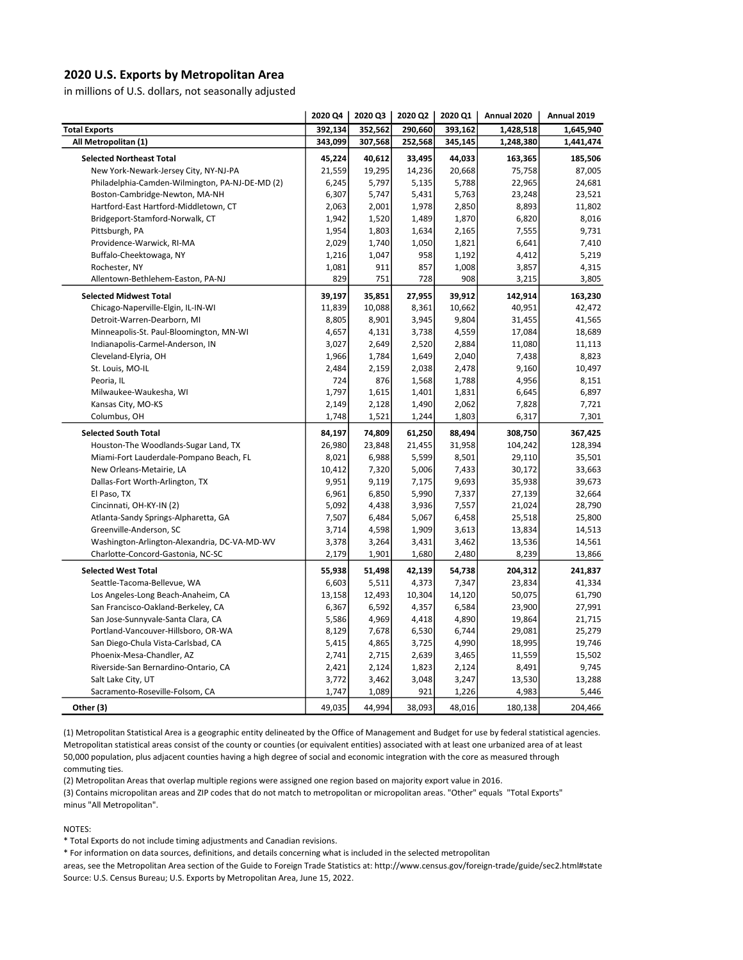## 2020 U.S. Exports by Metropolitan Area

in millions of U.S. dollars, not seasonally adjusted

|                                                 | 2020 Q4 | 2020 Q3 | 2020 Q2 | 2020 Q1 | Annual 2020 | Annual 2019 |
|-------------------------------------------------|---------|---------|---------|---------|-------------|-------------|
| <b>Total Exports</b>                            | 392,134 | 352,562 | 290,660 | 393,162 | 1,428,518   | 1,645,940   |
| All Metropolitan (1)                            | 343,099 | 307,568 | 252,568 | 345,145 | 1,248,380   | 1,441,474   |
| <b>Selected Northeast Total</b>                 | 45,224  | 40,612  | 33,495  | 44,033  | 163,365     | 185,506     |
| New York-Newark-Jersey City, NY-NJ-PA           | 21,559  | 19,295  | 14,236  | 20,668  | 75,758      | 87,005      |
| Philadelphia-Camden-Wilmington, PA-NJ-DE-MD (2) | 6,245   | 5,797   | 5,135   | 5,788   | 22,965      | 24,681      |
| Boston-Cambridge-Newton, MA-NH                  | 6,307   | 5,747   | 5,431   | 5,763   | 23,248      | 23,521      |
| Hartford-East Hartford-Middletown, CT           | 2,063   | 2,001   | 1,978   | 2,850   | 8,893       | 11,802      |
| Bridgeport-Stamford-Norwalk, CT                 | 1,942   | 1,520   | 1,489   | 1,870   | 6,820       | 8,016       |
| Pittsburgh, PA                                  | 1,954   | 1,803   | 1,634   | 2,165   | 7,555       | 9,731       |
| Providence-Warwick, RI-MA                       | 2,029   | 1,740   | 1,050   | 1,821   | 6,641       | 7,410       |
| Buffalo-Cheektowaga, NY                         | 1,216   | 1,047   | 958     | 1,192   | 4,412       | 5,219       |
| Rochester, NY                                   | 1,081   | 911     | 857     | 1,008   | 3,857       | 4,315       |
| Allentown-Bethlehem-Easton, PA-NJ               | 829     | 751     | 728     | 908     | 3,215       | 3,805       |
| <b>Selected Midwest Total</b>                   | 39,197  | 35,851  | 27,955  | 39,912  | 142,914     | 163,230     |
| Chicago-Naperville-Elgin, IL-IN-WI              | 11,839  | 10,088  | 8,361   | 10,662  | 40,951      | 42,472      |
| Detroit-Warren-Dearborn, MI                     | 8,805   | 8,901   | 3,945   | 9,804   | 31,455      | 41,565      |
| Minneapolis-St. Paul-Bloomington, MN-WI         | 4,657   | 4,131   | 3,738   | 4,559   | 17,084      | 18,689      |
| Indianapolis-Carmel-Anderson, IN                | 3,027   | 2,649   | 2,520   | 2,884   | 11,080      | 11,113      |
| Cleveland-Elyria, OH                            | 1,966   | 1,784   | 1,649   | 2,040   | 7,438       | 8,823       |
| St. Louis, MO-IL                                | 2,484   | 2,159   | 2,038   | 2,478   | 9,160       | 10,497      |
| Peoria, IL                                      | 724     | 876     | 1,568   | 1,788   | 4,956       | 8,151       |
| Milwaukee-Waukesha, WI                          | 1,797   | 1,615   | 1,401   | 1,831   | 6,645       | 6,897       |
| Kansas City, MO-KS                              | 2,149   | 2,128   | 1,490   | 2,062   | 7,828       | 7,721       |
| Columbus, OH                                    | 1,748   | 1,521   | 1,244   | 1,803   | 6,317       | 7,301       |
| <b>Selected South Total</b>                     | 84,197  | 74,809  | 61,250  | 88,494  | 308,750     | 367,425     |
| Houston-The Woodlands-Sugar Land, TX            | 26,980  | 23,848  | 21,455  | 31,958  | 104,242     | 128,394     |
| Miami-Fort Lauderdale-Pompano Beach, FL         | 8,021   | 6,988   | 5,599   | 8,501   | 29,110      | 35,501      |
| New Orleans-Metairie, LA                        | 10,412  | 7,320   | 5,006   | 7,433   | 30,172      | 33,663      |
| Dallas-Fort Worth-Arlington, TX                 | 9,951   | 9,119   | 7,175   | 9,693   | 35,938      | 39,673      |
| El Paso, TX                                     | 6,961   | 6,850   | 5,990   | 7,337   | 27,139      | 32,664      |
| Cincinnati, OH-KY-IN (2)                        | 5,092   | 4,438   | 3,936   | 7,557   | 21,024      | 28,790      |
| Atlanta-Sandy Springs-Alpharetta, GA            | 7,507   | 6,484   | 5,067   | 6,458   | 25,518      | 25,800      |
| Greenville-Anderson, SC                         | 3,714   | 4,598   | 1,909   | 3,613   | 13,834      | 14,513      |
| Washington-Arlington-Alexandria, DC-VA-MD-WV    | 3,378   | 3,264   | 3,431   | 3,462   | 13,536      | 14,561      |
| Charlotte-Concord-Gastonia, NC-SC               | 2,179   | 1,901   | 1,680   | 2,480   | 8,239       | 13,866      |
| <b>Selected West Total</b>                      | 55,938  | 51,498  | 42,139  | 54,738  | 204,312     | 241,837     |
| Seattle-Tacoma-Bellevue, WA                     | 6,603   | 5,511   | 4,373   | 7,347   | 23,834      | 41,334      |
| Los Angeles-Long Beach-Anaheim, CA              | 13,158  | 12,493  | 10,304  | 14,120  | 50,075      | 61,790      |
| San Francisco-Oakland-Berkeley, CA              | 6,367   | 6,592   | 4,357   | 6,584   | 23,900      | 27,991      |
| San Jose-Sunnyvale-Santa Clara, CA              | 5,586   | 4,969   | 4,418   | 4,890   | 19,864      | 21,715      |
| Portland-Vancouver-Hillsboro, OR-WA             | 8,129   | 7,678   | 6,530   | 6,744   | 29,081      | 25,279      |
| San Diego-Chula Vista-Carlsbad, CA              | 5,415   | 4,865   | 3,725   | 4,990   | 18,995      | 19,746      |
| Phoenix-Mesa-Chandler, AZ                       | 2,741   | 2,715   | 2,639   | 3,465   | 11,559      | 15,502      |
| Riverside-San Bernardino-Ontario, CA            | 2,421   | 2,124   | 1,823   | 2,124   | 8,491       | 9,745       |
| Salt Lake City, UT                              | 3,772   | 3,462   | 3,048   | 3,247   | 13,530      | 13,288      |
| Sacramento-Roseville-Folsom, CA                 | 1,747   | 1,089   | 921     | 1,226   | 4,983       | 5,446       |
|                                                 |         |         |         |         |             |             |
| Other (3)                                       | 49,035  | 44,994  | 38,093  | 48,016  | 180,138     | 204,466     |

(1) Metropolitan Statistical Area is a geographic entity delineated by the Office of Management and Budget for use by federal statistical agencies. Metropolitan statistical areas consist of the county or counties (or equivalent entities) associated with at least one urbanized area of at least 50,000 population, plus adjacent counties having a high degree of social and economic integration with the core as measured through commuting ties.

(2) Metropolitan Areas that overlap multiple regions were assigned one region based on majority export value in 2016.

minus "All Metropolitan". (3) Contains micropolitan areas and ZIP codes that do not match to metropolitan or micropolitan areas. "Other" equals "Total Exports"

NOTES:

\* Total Exports do not include timing adjustments and Canadian revisions.

\* For information on data sources, definitions, and details concerning what is included in the selected metropolitan

areas, see the Metropolitan Area section of the Guide to Foreign Trade Statistics at: http://www.census.gov/foreign-trade/guide/sec2.html#state Source: U.S. Census Bureau; U.S. Exports by Metropolitan Area, June 15, 2022.